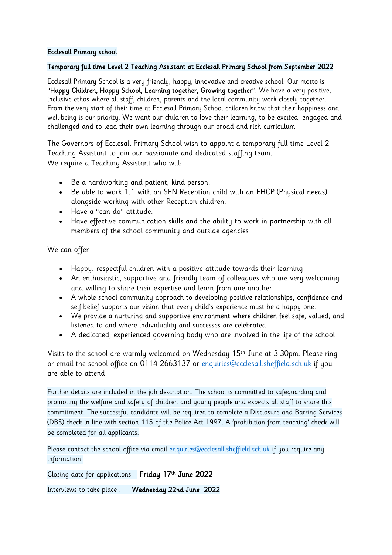## Ecclesall Primary school

## Temporary full time Level 2 Teaching Assistant at Ecclesall Primary School from September 2022

Ecclesall Primary School is a very friendly, happy, innovative and creative school. Our motto is "Happy Children, Happy School, Learning together, Growing together". We have a very positive, inclusive ethos where all staff, children, parents and the local community work closely together. From the very start of their time at Ecclesall Primary School children know that their happiness and well-being is our priority. We want our children to love their learning, to be excited, engaged and challenged and to lead their own learning through our broad and rich curriculum.

The Governors of Ecclesall Primary School wish to appoint a temporary full time Level 2 Teaching Assistant to join our passionate and dedicated staffing team. We require a Teaching Assistant who will:

- Be a hardworking and patient, kind person.
- Be able to work 1:1 with an SEN Reception child with an EHCP (Physical needs) alongside working with other Reception children.
- Have a "can do" attitude.
- Have effective communication skills and the ability to work in partnership with all members of the school community and outside agencies

We can offer

- Happy, respectful children with a positive attitude towards their learning
- An enthusiastic, supportive and friendly team of colleagues who are very welcoming and willing to share their expertise and learn from one another
- A whole school community approach to developing positive relationships, confidence and self-belief supports our vision that every child's experience must be a happy one.
- We provide a nurturing and supportive environment where children feel safe, valued, and listened to and where individuality and successes are celebrated.
- A dedicated, experienced governing body who are involved in the life of the school

Visits to the school are warmly welcomed on Wednesday 15th June at 3.30pm. Please ring or email the school office on 0114 2663137 or [enquiries@ecclesall.sheffield.sch.uk](mailto:enquiries@ecclesall.sheffield.sch.uk) if you are able to attend.

Further details are included in the job description. The school is committed to safeguarding and promoting the welfare and safety of children and young people and expects all staff to share this commitment. The successful candidate will be required to complete a Disclosure and Barring Services (DBS) check in line with section 115 of the Police Act 1997. A 'prohibition from teaching' check will be completed for all applicants.

Please contact the school office via email [enquiries@ecclesall.sheffield.sch.uk](mailto:enquiries@ecclesall.sheffield.sch.uk) if you require any information.

Closing date for applications: Friday 17th June 2022

Interviews to take place : Wednesday 22nd June 2022